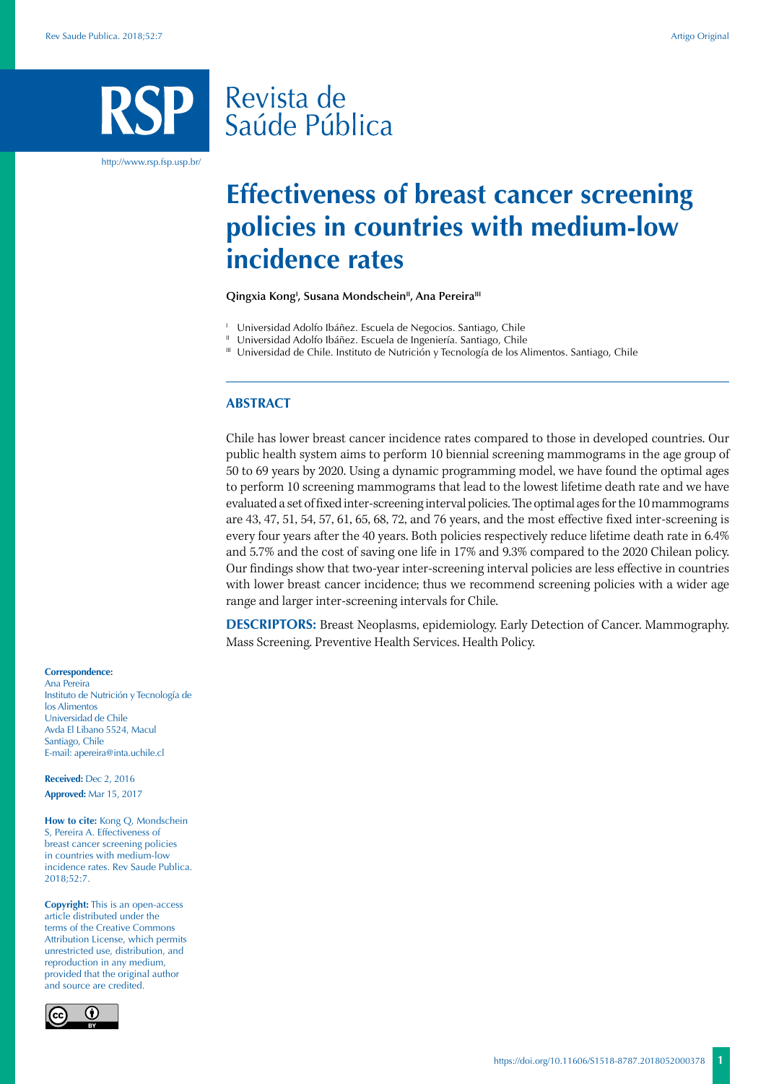# Revista de Saúde Pública

http://www.rsp.fsp.usp.br/

# **Effectiveness of breast cancer screening policies in countries with medium-low incidence rates**

#### Qingxia Kong<sup>i</sup>, Susana Mondschein<sup>ii</sup>, Ana Pereira<sup>iii</sup>

- <sup>1</sup> Universidad Adolfo Ibáñez. Escuela de Negocios. Santiago, Chile
- Universidad Adolfo Ibáñez. Escuela de Ingeniería. Santiago, Chile
- <sup>III</sup> Universidad de Chile. Instituto de Nutrición y Tecnología de los Alimentos. Santiago, Chile

## **ABSTRACT**

Chile has lower breast cancer incidence rates compared to those in developed countries. Our public health system aims to perform 10 biennial screening mammograms in the age group of 50 to 69 years by 2020. Using a dynamic programming model, we have found the optimal ages to perform 10 screening mammograms that lead to the lowest lifetime death rate and we have evaluated a set of fixed inter-screening interval policies. The optimal ages for the 10 mammograms are 43, 47, 51, 54, 57, 61, 65, 68, 72, and 76 years, and the most effective fixed inter-screening is every four years after the 40 years. Both policies respectively reduce lifetime death rate in 6.4% and 5.7% and the cost of saving one life in 17% and 9.3% compared to the 2020 Chilean policy. Our findings show that two-year inter-screening interval policies are less effective in countries with lower breast cancer incidence; thus we recommend screening policies with a wider age range and larger inter-screening intervals for Chile.

**DESCRIPTORS:** Breast Neoplasms, epidemiology. Early Detection of Cancer. Mammography. Mass Screening. Preventive Health Services. Health Policy.

#### **Correspondence:**

Ana Pereira Instituto de Nutrición y Tecnología de los Alimentos Universidad de Chile Avda El Libano 5524, Macul Santiago, Chile E-mail: [apereira@inta.uchile.cl](mailto:apereira@inta.uchile.cl)

**Received:** Dec 2, 2016 **Approved:** Mar 15, 2017

**How to cite:** Kong Q, Mondschein S, Pereira A. Effectiveness of breast cancer screening policies in countries with medium-low incidence rates. Rev Saude Publica. 2018;52:7.

**Copyright:** This is an open-access article distributed under the terms of the Creative Commons Attribution License, which permits unrestricted use, distribution, and reproduction in any medium, provided that the original author and source are credited.

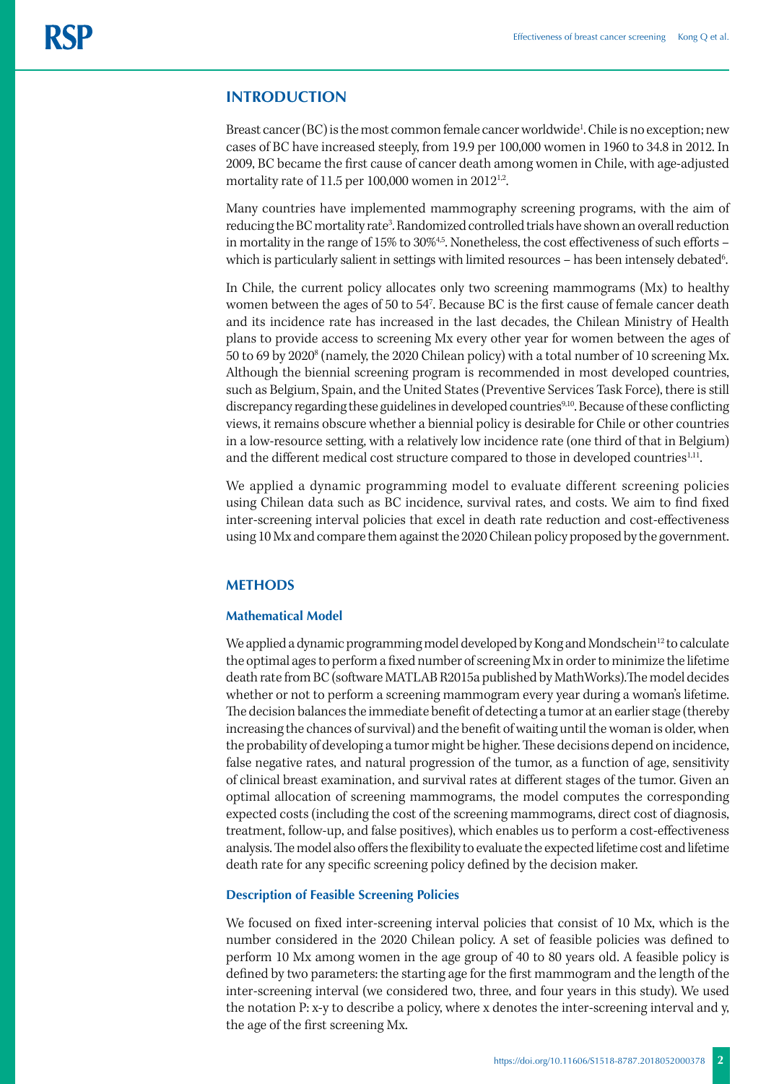## **INTRODUCTION**

Breast cancer (BC) is the most common female cancer worldwide<sup>1</sup>. Chile is no exception; new cases of BC have increased steeply, from 19.9 per 100,000 women in 1960 to 34.8 in 2012. In 2009, BC became the first cause of cancer death among women in Chile, with age-adjusted mortality rate of 11.5 per 100,000 women in 2012<sup>1,2</sup>.

Many countries have implemented mammography screening programs, with the aim of reducing the BC mortality rate<sup>3</sup>. Randomized controlled trials have shown an overall reduction in mortality in the range of 15% to 30%<sup>4,5</sup>. Nonetheless, the cost effectiveness of such efforts which is particularly salient in settings with limited resources - has been intensely debated<sup>6</sup>. .<br>.

In Chile, the current policy allocates only two screening mammograms (Mx) to healthy women between the ages of 50 to 547 . Because BC is the first cause of female cancer death and its incidence rate has increased in the last decades, the Chilean Ministry of Health plans to provide access to screening Mx every other year for women between the ages of 50 to 69 by 20208 (namely, the 2020 Chilean policy) with a total number of 10 screening Mx. Although the biennial screening program is recommended in most developed countries, such as Belgium, Spain, and the United States (Preventive Services Task Force), there is still discrepancy regarding these guidelines in developed countries<sup>9,10</sup>. Because of these conflicting views, it remains obscure whether a biennial policy is desirable for Chile or other countries in a low-resource setting, with a relatively low incidence rate (one third of that in Belgium) and the different medical cost structure compared to those in developed countries<sup>1,11</sup>.

We applied a dynamic programming model to evaluate different screening policies using Chilean data such as BC incidence, survival rates, and costs. We aim to find fixed inter-screening interval policies that excel in death rate reduction and cost-effectiveness using 10 Mx and compare them against the 2020 Chilean policy proposed by the government.

## **METHODS**

### **Mathematical Model**

We applied a dynamic programming model developed by Kong and Mondschein<sup>12</sup> to calculate the optimal ages to perform a fixed number of screening Mx in order to minimize the lifetime death rate from BC (software MATLAB R2015a published by MathWorks).The model decides whether or not to perform a screening mammogram every year during a woman's lifetime. The decision balances the immediate benefit of detecting a tumor at an earlier stage (thereby increasing the chances of survival) and the benefit of waiting until the woman is older, when the probability of developing a tumor might be higher. These decisions depend on incidence, false negative rates, and natural progression of the tumor, as a function of age, sensitivity of clinical breast examination, and survival rates at different stages of the tumor. Given an optimal allocation of screening mammograms, the model computes the corresponding expected costs (including the cost of the screening mammograms, direct cost of diagnosis, treatment, follow-up, and false positives), which enables us to perform a cost-effectiveness analysis. The model also offers the flexibility to evaluate the expected lifetime cost and lifetime death rate for any specific screening policy defined by the decision maker.

#### **Description of Feasible Screening Policies**

We focused on fixed inter-screening interval policies that consist of 10 Mx, which is the number considered in the 2020 Chilean policy. A set of feasible policies was defined to perform 10 Mx among women in the age group of 40 to 80 years old. A feasible policy is defined by two parameters: the starting age for the first mammogram and the length of the inter-screening interval (we considered two, three, and four years in this study). We used the notation P: x-y to describe a policy, where x denotes the inter-screening interval and y, the age of the first screening Mx.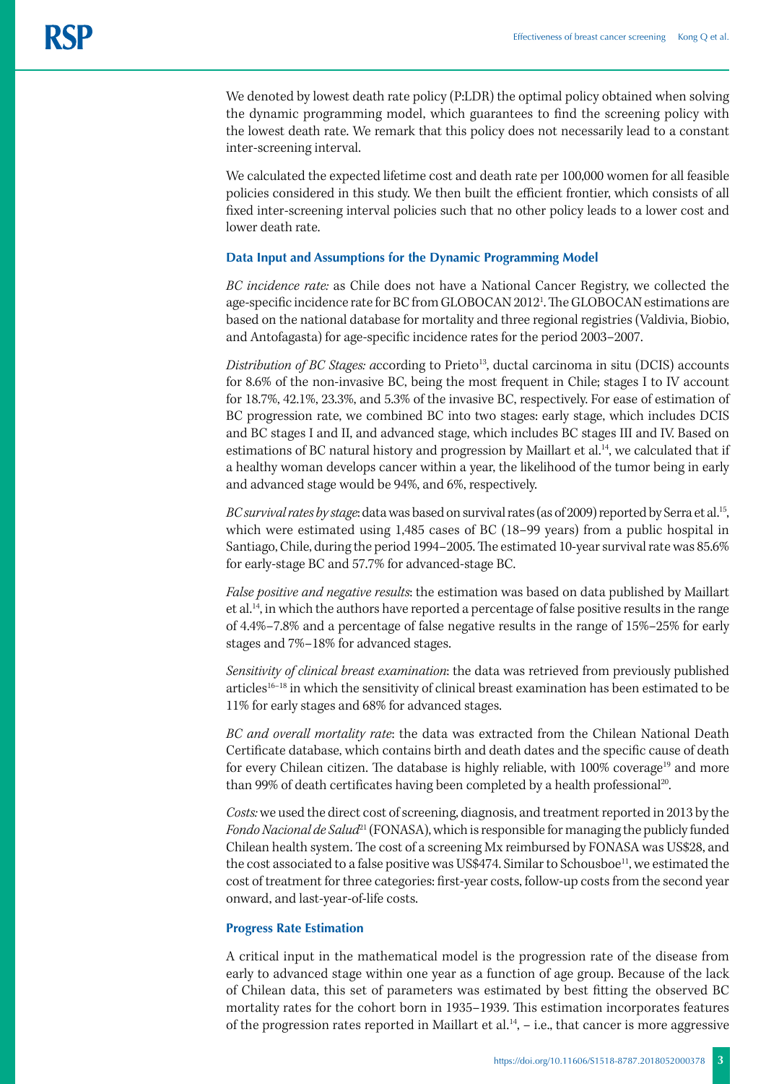We denoted by lowest death rate policy (P:LDR) the optimal policy obtained when solving the dynamic programming model, which guarantees to find the screening policy with the lowest death rate. We remark that this policy does not necessarily lead to a constant inter-screening interval.

We calculated the expected lifetime cost and death rate per 100,000 women for all feasible policies considered in this study. We then built the efficient frontier, which consists of all fixed inter-screening interval policies such that no other policy leads to a lower cost and lower death rate.

#### **Data Input and Assumptions for the Dynamic Programming Model**

*BC incidence rate:* as Chile does not have a National Cancer Registry, we collected the age-specific incidence rate for BC from GLOBOCAN 2012<sup>1</sup> . The GLOBOCAN estimations are based on the national database for mortality and three regional registries (Valdivia, Biobio, and Antofagasta) for age-specific incidence rates for the period 2003–2007.

*Distribution of BC Stages: according to Prieto<sup>13</sup>, ductal carcinoma in situ (DCIS) accounts* for 8.6% of the non-invasive BC, being the most frequent in Chile; stages I to IV account for 18.7%, 42.1%, 23.3%, and 5.3% of the invasive BC, respectively. For ease of estimation of BC progression rate, we combined BC into two stages: early stage, which includes DCIS and BC stages I and II, and advanced stage, which includes BC stages III and IV. Based on estimations of BC natural history and progression by Maillart et al.<sup>14</sup>, we calculated that if a healthy woman develops cancer within a year, the likelihood of the tumor being in early and advanced stage would be 94%, and 6%, respectively.

*BC survival rates by stage*: data was based on survival rates (as of 2009) reported by Serra et al.15, which were estimated using 1,485 cases of BC (18–99 years) from a public hospital in Santiago, Chile, during the period 1994–2005. The estimated 10-year survival rate was 85.6% for early-stage BC and 57.7% for advanced-stage BC.

*False positive and negative results*: the estimation was based on data published by Maillart et al.14, in which the authors have reported a percentage of false positive results in the range of 4.4%–7.8% and a percentage of false negative results in the range of 15%–25% for early stages and 7%–18% for advanced stages.

*Sensitivity of clinical breast examination*: the data was retrieved from previously published articles<sup>16-18</sup> in which the sensitivity of clinical breast examination has been estimated to be 11% for early stages and 68% for advanced stages.

*BC and overall mortality rate*: the data was extracted from the Chilean National Death Certificate database, which contains birth and death dates and the specific cause of death for every Chilean citizen. The database is highly reliable, with 100% coverage<sup>19</sup> and more than 99% of death certificates having been completed by a health professional<sup>20</sup>.

*Costs:* we used the direct cost of screening, diagnosis, and treatment reported in 2013 by the *Fondo Nacional de Salud*<sup>21</sup> (FONASA), which is responsible for managing the publicly funded Chilean health system. The cost of a screening Mx reimbursed by FONASA was US\$28, and the cost associated to a false positive was US\$474. Similar to Schousboe<sup>11</sup>, we estimated the cost of treatment for three categories: first-year costs, follow-up costs from the second year onward, and last-year-of-life costs.

#### **Progress Rate Estimation**

A critical input in the mathematical model is the progression rate of the disease from early to advanced stage within one year as a function of age group. Because of the lack of Chilean data, this set of parameters was estimated by best fitting the observed BC mortality rates for the cohort born in 1935–1939. This estimation incorporates features of the progression rates reported in Maillart et al.<sup>14</sup>,  $-$  i.e., that cancer is more aggressive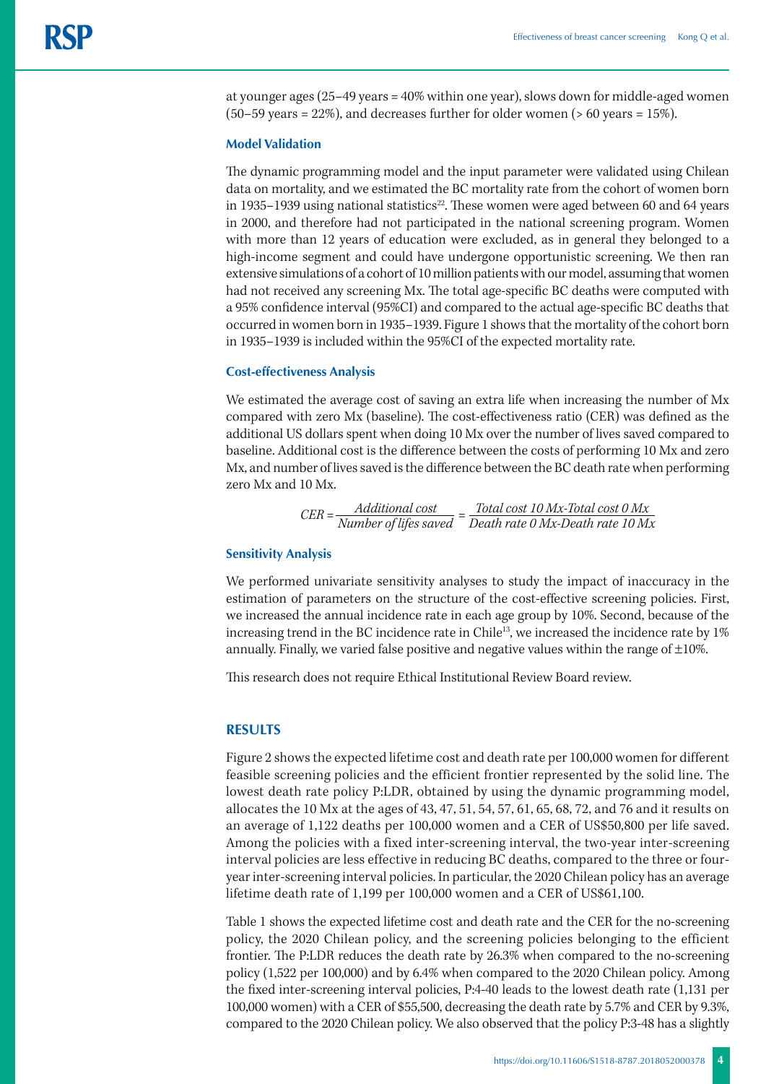at younger ages (25–49 years = 40% within one year), slows down for middle-aged women (50–59 years = 22%), and decreases further for older women (> 60 years = 15%).

#### **Model Validation**

The dynamic programming model and the input parameter were validated using Chilean data on mortality, and we estimated the BC mortality rate from the cohort of women born in 1935–1939 using national statistics<sup>22</sup>. These women were aged between 60 and 64 years in 2000, and therefore had not participated in the national screening program. Women with more than 12 years of education were excluded, as in general they belonged to a high-income segment and could have undergone opportunistic screening. We then ran extensive simulations of a cohort of 10 million patients with our model, assuming that women had not received any screening Mx. The total age-specific BC deaths were computed with a 95% confidence interval (95%CI) and compared to the actual age-specific BC deaths that occurred in women born in 1935–1939. Figure 1 shows that the mortality of the cohort born in 1935–1939 is included within the 95%CI of the expected mortality rate.

#### **Cost-effectiveness Analysis**

We estimated the average cost of saving an extra life when increasing the number of Mx compared with zero Mx (baseline). The cost-effectiveness ratio (CER) was defined as the additional US dollars spent when doing 10 Mx over the number of lives saved compared to baseline. Additional cost is the difference between the costs of performing 10 Mx and zero Mx, and number of lives saved is the difference between the BC death rate when performing zero Mx and 10 Mx.

$$
CER = \frac{Additional \ cost}{Number \ of \ lifes \ saved} = \frac{Total \ cost \ 10 \ Mx-Total \ cost \ 0 \ Mx}{Death \ rate \ 0 \ Mx-Death \ rate \ 10 \ Mx}
$$

#### **Sensitivity Analysis**

We performed univariate sensitivity analyses to study the impact of inaccuracy in the estimation of parameters on the structure of the cost-effective screening policies. First, we increased the annual incidence rate in each age group by 10%. Second, because of the increasing trend in the BC incidence rate in Chile<sup>13</sup>, we increased the incidence rate by 1% annually. Finally, we varied false positive and negative values within the range of  $\pm 10\%$ .

This research does not require Ethical Institutional Review Board review.

### **RESULTS**

Figure 2 shows the expected lifetime cost and death rate per 100,000 women for different feasible screening policies and the efficient frontier represented by the solid line. The lowest death rate policy P:LDR, obtained by using the dynamic programming model, allocates the 10 Mx at the ages of 43, 47, 51, 54, 57, 61, 65, 68, 72, and 76 and it results on an average of 1,122 deaths per 100,000 women and a CER of US\$50,800 per life saved. Among the policies with a fixed inter-screening interval, the two-year inter-screening interval policies are less effective in reducing BC deaths, compared to the three or fouryear inter-screening interval policies. In particular, the 2020 Chilean policy has an average lifetime death rate of 1,199 per 100,000 women and a CER of US\$61,100.

Table 1 shows the expected lifetime cost and death rate and the CER for the no-screening policy, the 2020 Chilean policy, and the screening policies belonging to the efficient frontier. The P:LDR reduces the death rate by 26.3% when compared to the no-screening policy (1,522 per 100,000) and by 6.4% when compared to the 2020 Chilean policy. Among the fixed inter-screening interval policies, P:4-40 leads to the lowest death rate (1,131 per 100,000 women) with a CER of \$55,500, decreasing the death rate by 5.7% and CER by 9.3%, compared to the 2020 Chilean policy. We also observed that the policy P:3-48 has a slightly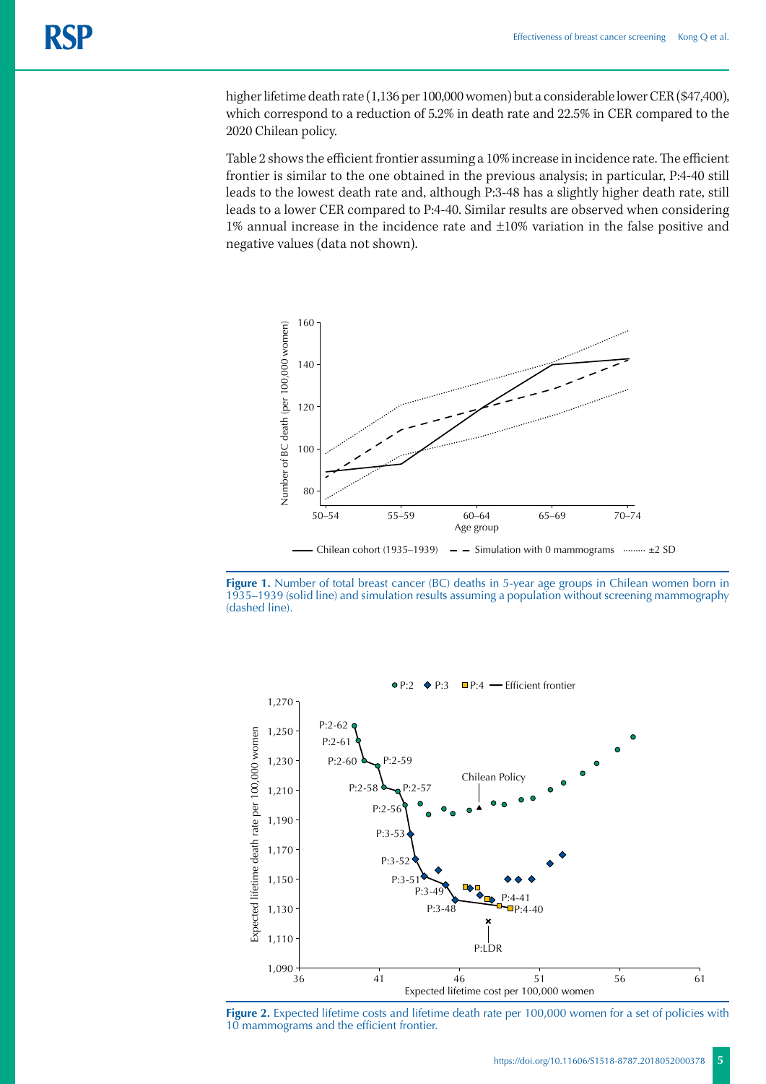higher lifetime death rate (1,136 per 100,000 women) but a considerable lower CER (\$47,400), which correspond to a reduction of 5.2% in death rate and 22.5% in CER compared to the 2020 Chilean policy.

Table 2 shows the efficient frontier assuming a 10% increase in incidence rate. The efficient frontier is similar to the one obtained in the previous analysis; in particular, P:4-40 still leads to the lowest death rate and, although P:3-48 has a slightly higher death rate, still leads to a lower CER compared to P:4-40. Similar results are observed when considering 1% annual increase in the incidence rate and ±10% variation in the false positive and negative values (data not shown).



**Figure 1.** Number of total breast cancer (BC) deaths in 5-year age groups in Chilean women born in 1935–1939 (solid line) and simulation results assuming a population without screening mammography (dashed line).



**Figure 2.** Expected lifetime costs and lifetime death rate per 100,000 women for a set of policies with 10 mammograms and the efficient frontier.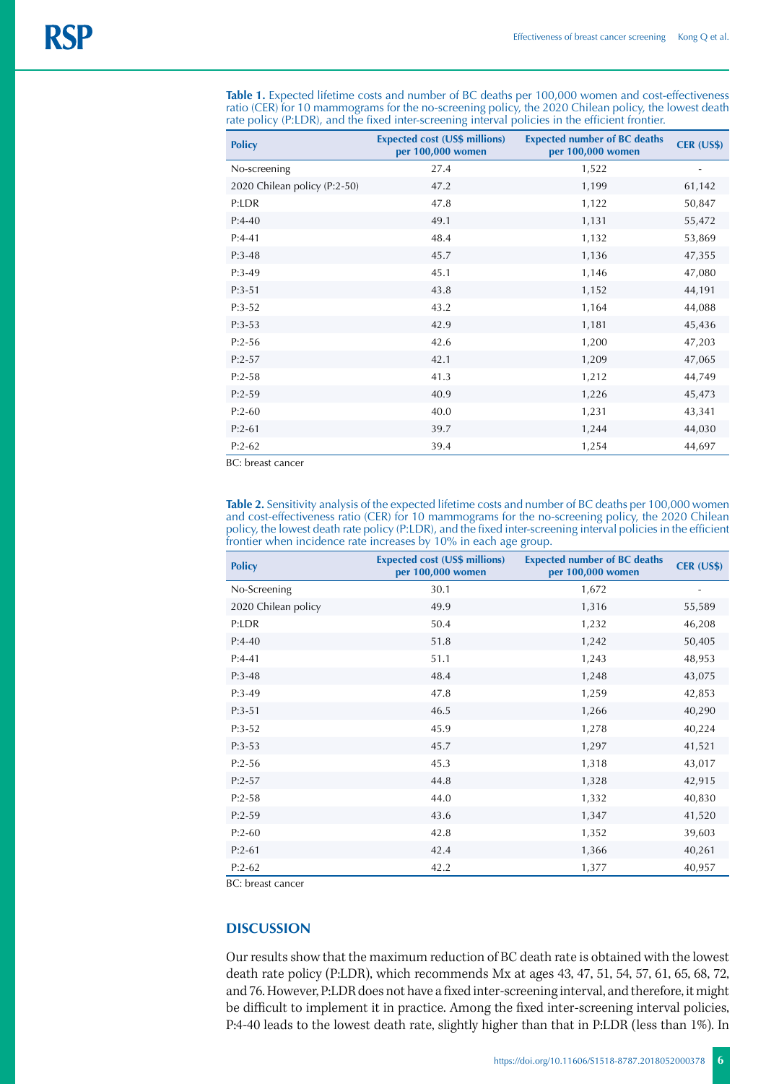**Table 1.** Expected lifetime costs and number of BC deaths per 100,000 women and cost-effectiveness ratio (CER) for 10 mammograms for the no-screening policy, the 2020 Chilean policy, the lowest death rate policy (P:LDR), and the fixed inter-screening interval policies in the efficient frontier.

| <b>Policy</b>                | <b>Expected cost (US\$ millions)</b><br>per 100,000 women | <b>Expected number of BC deaths</b><br>per 100,000 women | CER (US\$) |
|------------------------------|-----------------------------------------------------------|----------------------------------------------------------|------------|
| No-screening                 | 27.4                                                      | 1,522                                                    |            |
| 2020 Chilean policy (P:2-50) | 47.2                                                      | 1,199                                                    | 61,142     |
| P:LDR                        | 47.8                                                      | 1,122                                                    | 50,847     |
| $P:4-40$                     | 49.1                                                      | 1,131                                                    | 55,472     |
| $P:4-41$                     | 48.4                                                      | 1,132                                                    | 53,869     |
| $P:3-48$                     | 45.7                                                      | 1,136                                                    | 47,355     |
| $P:3-49$                     | 45.1                                                      | 1,146                                                    | 47,080     |
| $P:3-51$                     | 43.8                                                      | 1,152                                                    | 44,191     |
| $P:3-52$                     | 43.2                                                      | 1,164                                                    | 44,088     |
| $P:3-53$                     | 42.9                                                      | 1,181                                                    | 45,436     |
| $P:2-56$                     | 42.6                                                      | 1,200                                                    | 47,203     |
| $P:2-57$                     | 42.1                                                      | 1,209                                                    | 47,065     |
| $P:2-58$                     | 41.3                                                      | 1,212                                                    | 44,749     |
| $P:2-59$                     | 40.9                                                      | 1,226                                                    | 45,473     |
| $P:2-60$                     | 40.0                                                      | 1,231                                                    | 43,341     |
| $P:2-61$                     | 39.7                                                      | 1,244                                                    | 44,030     |
| $P:2-62$                     | 39.4                                                      | 1,254                                                    | 44,697     |

BC: breast cancer

**Table 2.** Sensitivity analysis of the expected lifetime costs and number of BC deaths per 100,000 women and cost-effectiveness ratio (CER) for 10 mammograms for the no-screening policy, the 2020 Chilean policy, the lowest death rate policy (P:LDR), and the fixed inter-screening interval policies in the efficient frontier when incidence rate increases by 10% in each age group.

| <b>Policy</b>       | <b>Expected cost (US\$ millions)</b><br>per 100,000 women | <b>Expected number of BC deaths</b><br>per 100,000 women | <b>CER (US\$)</b> |
|---------------------|-----------------------------------------------------------|----------------------------------------------------------|-------------------|
| No-Screening        | 30.1                                                      | 1,672                                                    |                   |
| 2020 Chilean policy | 49.9                                                      | 1,316                                                    | 55,589            |
| P:LDR               | 50.4                                                      | 1,232                                                    | 46,208            |
| $P:4-40$            | 51.8                                                      | 1,242                                                    | 50,405            |
| $P:4-41$            | 51.1                                                      | 1,243                                                    | 48,953            |
| $P:3-48$            | 48.4                                                      | 1,248                                                    | 43,075            |
| $P:3-49$            | 47.8                                                      | 1,259                                                    | 42,853            |
| $P:3-51$            | 46.5                                                      | 1,266                                                    | 40,290            |
| $P:3-52$            | 45.9                                                      | 1,278                                                    | 40,224            |
| $P:3-53$            | 45.7                                                      | 1,297                                                    | 41,521            |
| $P:2-56$            | 45.3                                                      | 1,318                                                    | 43,017            |
| $P:2-57$            | 44.8                                                      | 1,328                                                    | 42,915            |
| $P:2-58$            | 44.0                                                      | 1,332                                                    | 40,830            |
| $P:2-59$            | 43.6                                                      | 1,347                                                    | 41,520            |
| $P:2-60$            | 42.8                                                      | 1,352                                                    | 39,603            |
| $P:2-61$            | 42.4                                                      | 1,366                                                    | 40,261            |
| $P:2-62$            | 42.2                                                      | 1,377                                                    | 40,957            |

BC: breast cancer

#### **DISCUSSION**

Our results show that the maximum reduction of BC death rate is obtained with the lowest death rate policy (P:LDR), which recommends Mx at ages 43, 47, 51, 54, 57, 61, 65, 68, 72, and 76. However, P:LDR does not have a fixed inter-screening interval, and therefore, it might be difficult to implement it in practice. Among the fixed inter-screening interval policies, P:4-40 leads to the lowest death rate, slightly higher than that in P:LDR (less than 1%). In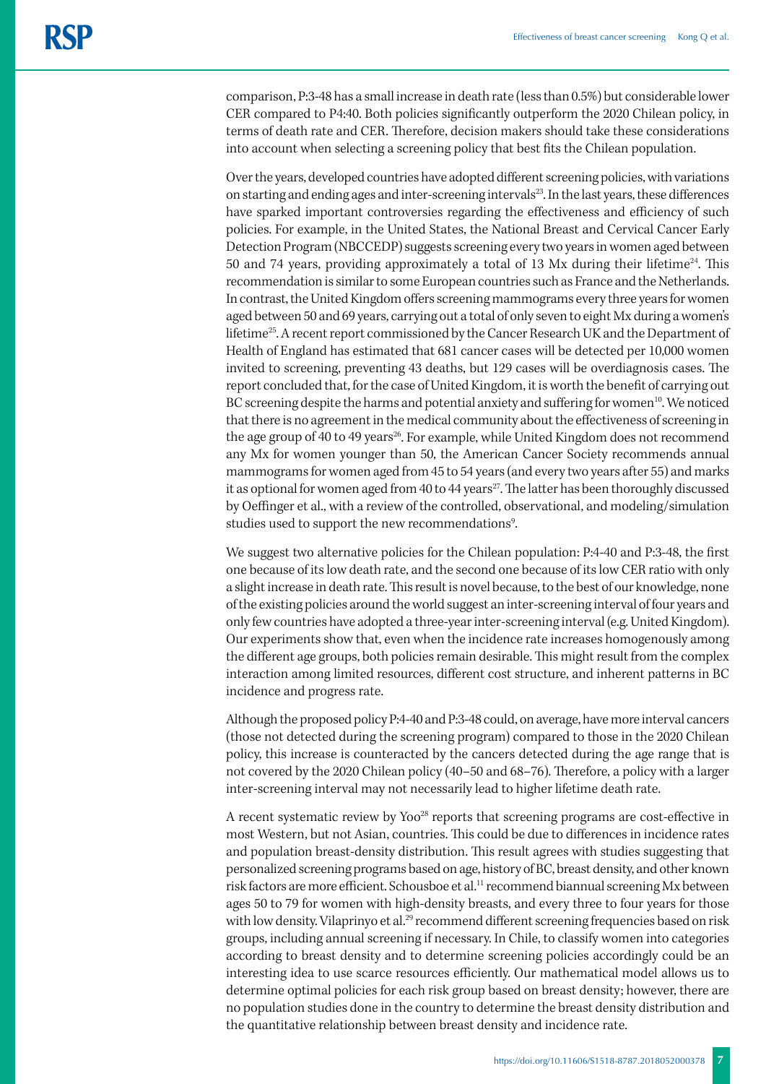comparison, P:3-48 has a small increase in death rate (less than 0.5%) but considerable lower CER compared to P4:40. Both policies significantly outperform the 2020 Chilean policy, in terms of death rate and CER. Therefore, decision makers should take these considerations into account when selecting a screening policy that best fits the Chilean population.

Over the years, developed countries have adopted different screening policies, with variations on starting and ending ages and inter-screening intervals<sup>23</sup>. In the last years, these differences have sparked important controversies regarding the effectiveness and efficiency of such policies. For example, in the United States, the National Breast and Cervical Cancer Early Detection Program (NBCCEDP) suggests screening every two years in women aged between 50 and 74 years, providing approximately a total of 13 Mx during their lifetime<sup>24</sup>. This recommendation is similar to some European countries such as France and the Netherlands. In contrast, the United Kingdom offers screening mammograms every three years for women aged between 50 and 69 years, carrying out a total of only seven to eight Mx during a women's lifetime25. A recent report commissioned by the Cancer Research UK and the Department of Health of England has estimated that 681 cancer cases will be detected per 10,000 women invited to screening, preventing 43 deaths, but 129 cases will be overdiagnosis cases. The report concluded that, for the case of United Kingdom, it is worth the benefit of carrying out BC screening despite the harms and potential anxiety and suffering for women $^{10}$ . We noticed that there is no agreement in the medical community about the effectiveness of screening in the age group of 40 to 49 years<sup>26</sup>. For example, while United Kingdom does not recommend any Mx for women younger than 50, the American Cancer Society recommends annual mammograms for women aged from 45 to 54 years (and every two years after 55) and marks it as optional for women aged from 40 to 44 years<sup>27</sup>. The latter has been thoroughly discussed by Oeffinger et al., with a review of the controlled, observational, and modeling/simulation studies used to support the new recommendations<sup>9</sup>. .

We suggest two alternative policies for the Chilean population: P:4-40 and P:3-48, the first one because of its low death rate, and the second one because of its low CER ratio with only a slight increase in death rate. This result is novel because, to the best of our knowledge, none of the existing policies around the world suggest an inter-screening interval of four years and only few countries have adopted a three-year inter-screening interval (e.g. United Kingdom). Our experiments show that, even when the incidence rate increases homogenously among the different age groups, both policies remain desirable. This might result from the complex interaction among limited resources, different cost structure, and inherent patterns in BC incidence and progress rate.

Although the proposed policy P:4-40 and P:3-48 could, on average, have more interval cancers (those not detected during the screening program) compared to those in the 2020 Chilean policy, this increase is counteracted by the cancers detected during the age range that is not covered by the 2020 Chilean policy (40–50 and 68–76). Therefore, a policy with a larger inter-screening interval may not necessarily lead to higher lifetime death rate.

A recent systematic review by Yoo<sup>28</sup> reports that screening programs are cost-effective in most Western, but not Asian, countries. This could be due to differences in incidence rates and population breast-density distribution. This result agrees with studies suggesting that personalized screening programs based on age, history of BC, breast density, and other known risk factors are more efficient. Schousboe et al.<sup>11</sup> recommend biannual screening Mx between ages 50 to 79 for women with high-density breasts, and every three to four years for those with low density. Vilaprinyo et al.<sup>29</sup> recommend different screening frequencies based on risk groups, including annual screening if necessary. In Chile, to classify women into categories according to breast density and to determine screening policies accordingly could be an interesting idea to use scarce resources efficiently. Our mathematical model allows us to determine optimal policies for each risk group based on breast density; however, there are no population studies done in the country to determine the breast density distribution and the quantitative relationship between breast density and incidence rate.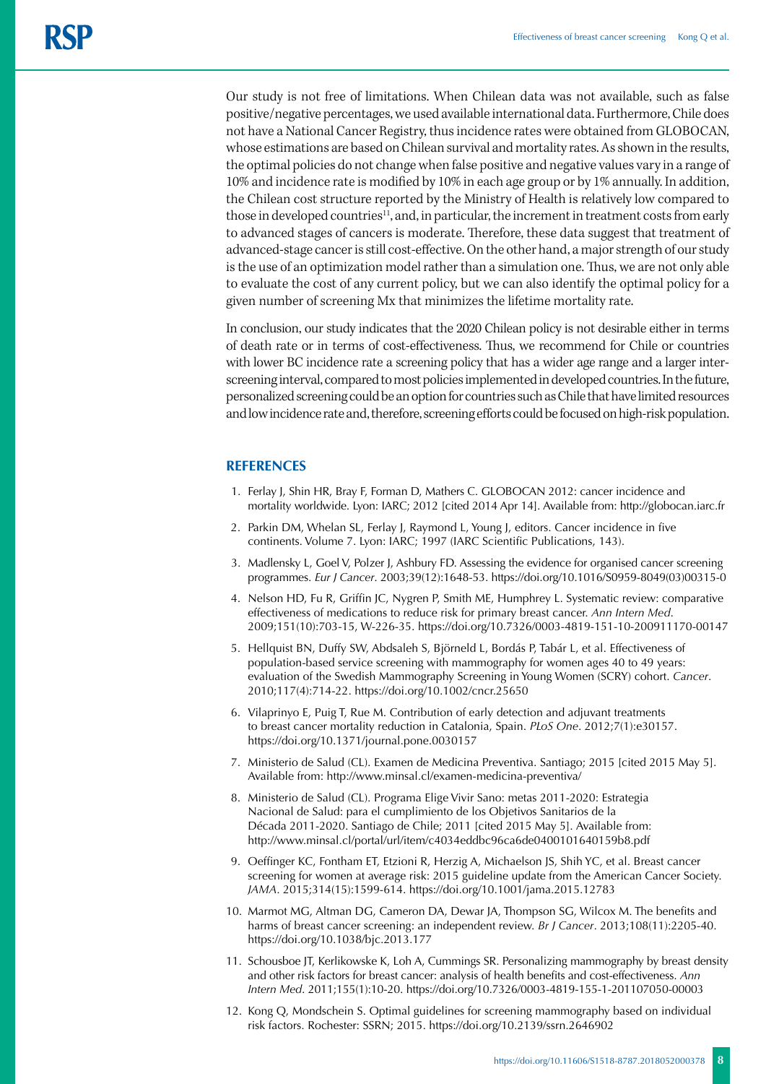Our study is not free of limitations. When Chilean data was not available, such as false positive/negative percentages, we used available international data. Furthermore, Chile does not have a National Cancer Registry, thus incidence rates were obtained from GLOBOCAN, whose estimations are based on Chilean survival and mortality rates. As shown in the results, the optimal policies do not change when false positive and negative values vary in a range of 10% and incidence rate is modified by 10% in each age group or by 1% annually. In addition, the Chilean cost structure reported by the Ministry of Health is relatively low compared to those in developed countries<sup>11</sup>, and, in particular, the increment in treatment costs from early to advanced stages of cancers is moderate. Therefore, these data suggest that treatment of advanced-stage cancer is still cost-effective. On the other hand, a major strength of our study is the use of an optimization model rather than a simulation one. Thus, we are not only able to evaluate the cost of any current policy, but we can also identify the optimal policy for a given number of screening Mx that minimizes the lifetime mortality rate.

In conclusion, our study indicates that the 2020 Chilean policy is not desirable either in terms of death rate or in terms of cost-effectiveness. Thus, we recommend for Chile or countries with lower BC incidence rate a screening policy that has a wider age range and a larger interscreening interval, compared to most policies implemented in developed countries. In the future, personalized screening could be an option for countries such as Chile that have limited resources and low incidence rate and, therefore, screening efforts could be focused on high-risk population.

### **REFERENCES**

- 1. Ferlay J, Shin HR, Bray F, Forman D, Mathers C. GLOBOCAN 2012: cancer incidence and mortality worldwide. Lyon: IARC; 2012 [cited 2014 Apr 14]. Available from: http://globocan.iarc.fr
- 2. Parkin DM, Whelan SL, Ferlay J, Raymond L, Young J, editors. Cancer incidence in five continents. Volume 7. Lyon: IARC; 1997 (IARC Scientific Publications, 143).
- 3. Madlensky L, Goel V, Polzer J, Ashbury FD. Assessing the evidence for organised cancer screening programmes. *Eur J Cancer*. 2003;39(12):1648-53. https://doi.org/10.1016/S0959-8049(03)00315-0
- 4. Nelson HD, Fu R, Griffin JC, Nygren P, Smith ME, Humphrey L. Systematic review: comparative effectiveness of medications to reduce risk for primary breast cancer. *Ann Intern Med*. 2009;151(10):703-15, W-226-35. https://doi.org/10.7326/0003-4819-151-10-200911170-00147
- 5. Hellquist BN, Duffy SW, Abdsaleh S, Björneld L, Bordás P, Tabár L, et al. Effectiveness of population-based service screening with mammography for women ages 40 to 49 years: evaluation of the Swedish Mammography Screening in Young Women (SCRY) cohort. *Cancer*. 2010;117(4):714-22. https://doi.org/10.1002/cncr.25650
- 6. Vilaprinyo E, Puig T, Rue M. Contribution of early detection and adjuvant treatments to breast cancer mortality reduction in Catalonia, Spain. *PLoS One*. 2012;7(1):e30157. https://doi.org/10.1371/journal.pone.0030157
- 7. Ministerio de Salud (CL). Examen de Medicina Preventiva. Santiago; 2015 [cited 2015 May 5]. Available from: http://www.minsal.cl/examen-medicina-preventiva/
- 8. Ministerio de Salud (CL). Programa Elige Vivir Sano: metas 2011-2020: Estrategia Nacional de Salud: para el cumplimiento de los Objetivos Sanitarios de la Década 2011-2020. Santiago de Chile; 2011 [cited 2015 May 5]. Available from: http://www.minsal.cl/portal/url/item/c4034eddbc96ca6de0400101640159b8.pdf
- 9. Oeffinger KC, Fontham ET, Etzioni R, Herzig A, Michaelson JS, Shih YC, et al. Breast cancer screening for women at average risk: 2015 guideline update from the American Cancer Society. *JAMA*. 2015;314(15):1599-614. https://doi.org/10.1001/jama.2015.12783
- 10. Marmot MG, Altman DG, Cameron DA, Dewar JA, Thompson SG, Wilcox M. The benefits and harms of breast cancer screening: an independent review. *Br J Cancer*. 2013;108(11):2205-40. https://doi.org/10.1038/bjc.2013.177
- 11. Schousboe JT, Kerlikowske K, Loh A, Cummings SR. Personalizing mammography by breast density and other risk factors for breast cancer: analysis of health benefits and cost-effectiveness. *Ann Intern Med*. 2011;155(1):10-20. https://doi.org/10.7326/0003-4819-155-1-201107050-00003
- 12. Kong Q, Mondschein S. Optimal guidelines for screening mammography based on individual risk factors. Rochester: SSRN; 2015. https://doi.org/10.2139/ssrn.2646902